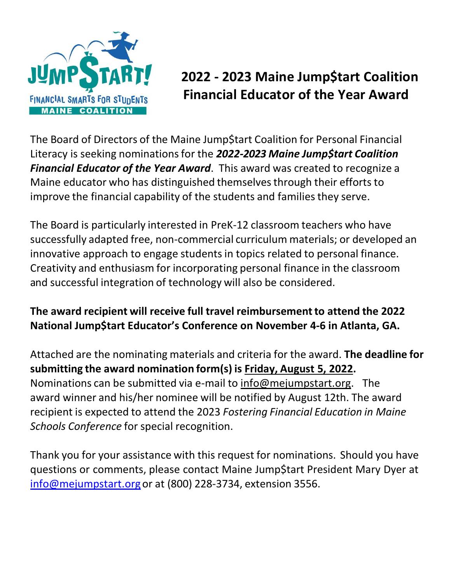

# **2022 - 2023 Maine Jump\$tart Coalition FINANCIAL SMARTS FOR STUPENTS FINANCIAL SMARTS FOR STUPENTS**

The Board of Directors of the Maine Jump\$tart Coalition for Personal Financial Literacy is seeking nominationsfor the *2022-2023 Maine Jump\$tart Coalition Financial Educator of the Year Award*. This award was created to recognize a Maine educator who has distinguished themselves through their efforts to improve the financial capability of the students and families they serve.

The Board is particularly interested in PreK-12 classroom teachers who have successfully adapted free, non-commercial curriculum materials; or developed an innovative approach to engage students in topics related to personal finance. Creativity and enthusiasm for incorporating personal finance in the classroom and successful integration of technology will also be considered.

#### **The award recipient will receive full travel reimbursementto attend the 2022 National Jump\$tart Educator's Conference on November 4-6 in Atlanta, GA.**

Attached are the nominating materials and criteria for the award. **The deadline for submitting the award nomination form(s) is Friday, August 5, 2022.**  Nominations can be submitted via e-mail to [info@mejumpstart.org.](mailto:info@mejumpstart.org) The award winner and his/her nominee will be notified by August 12th. The award recipient is expected to attend the 2023 *Fostering Financial Education in Maine Schools Conference* for special recognition.

Thank you for your assistance with this request for nominations. Should you have questions or comments, please contact Maine Jump\$tart President Mary Dyer at [info@mejumpstart.org](mailto:info@mejumpstart.org) or at (800) 228-3734, extension 3556.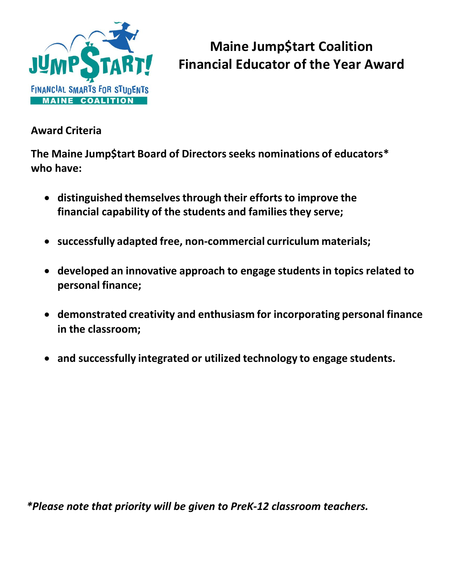

# **Maine Jump\$tart Coalition Financial Educator of the Year Award**

#### **Award Criteria**

**The Maine Jump\$tart Board of Directorsseeks nominations of educators\* who have:**

- **distinguished themselvesthrough their effortsto improve the financial capability of the students and familiesthey serve;**
- **successfully adapted free, non-commercial curriculum materials;**
- **developed an innovative approach to engage studentsin topics related to personal finance;**
- **demonstrated creativity and enthusiasm for incorporating personal finance in the classroom;**
- **and successfully integrated or utilized technology to engage students.**

*\*Please note that priority will be given to PreK-12 classroom teachers.*